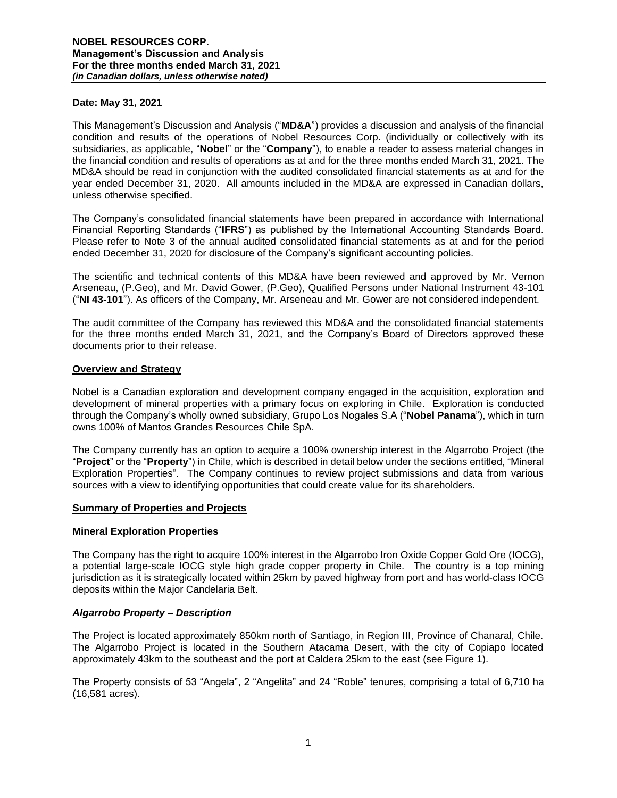#### **Date: May 31, 2021**

This Management's Discussion and Analysis ("**MD&A**") provides a discussion and analysis of the financial condition and results of the operations of Nobel Resources Corp. (individually or collectively with its subsidiaries, as applicable, "**Nobel**" or the "**Company**"), to enable a reader to assess material changes in the financial condition and results of operations as at and for the three months ended March 31, 2021. The MD&A should be read in conjunction with the audited consolidated financial statements as at and for the year ended December 31, 2020. All amounts included in the MD&A are expressed in Canadian dollars, unless otherwise specified.

The Company's consolidated financial statements have been prepared in accordance with International Financial Reporting Standards ("**IFRS**") as published by the International Accounting Standards Board. Please refer to Note 3 of the annual audited consolidated financial statements as at and for the period ended December 31, 2020 for disclosure of the Company's significant accounting policies.

The scientific and technical contents of this MD&A have been reviewed and approved by Mr. Vernon Arseneau, (P.Geo), and Mr. David Gower, (P.Geo), Qualified Persons under National Instrument 43-101 ("**NI 43-101**"). As officers of the Company, Mr. Arseneau and Mr. Gower are not considered independent.

The audit committee of the Company has reviewed this MD&A and the consolidated financial statements for the three months ended March 31, 2021, and the Company's Board of Directors approved these documents prior to their release.

#### **Overview and Strategy**

Nobel is a Canadian exploration and development company engaged in the acquisition, exploration and development of mineral properties with a primary focus on exploring in Chile. Exploration is conducted through the Company's wholly owned subsidiary, Grupo Los Nogales S.A ("**Nobel Panama**"), which in turn owns 100% of Mantos Grandes Resources Chile SpA.

The Company currently has an option to acquire a 100% ownership interest in the Algarrobo Project (the "**Project**" or the "**Property**") in Chile, which is described in detail below under the sections entitled, "Mineral Exploration Properties". The Company continues to review project submissions and data from various sources with a view to identifying opportunities that could create value for its shareholders.

#### **Summary of Properties and Projects**

#### **Mineral Exploration Properties**

The Company has the right to acquire 100% interest in the Algarrobo Iron Oxide Copper Gold Ore (IOCG), a potential large-scale IOCG style high grade copper property in Chile. The country is a top mining jurisdiction as it is strategically located within 25km by paved highway from port and has world-class IOCG deposits within the Major Candelaria Belt.

### *Algarrobo Property – Description*

The Project is located approximately 850km north of Santiago, in Region III, Province of Chanaral, Chile. The Algarrobo Project is located in the Southern Atacama Desert, with the city of Copiapo located approximately 43km to the southeast and the port at Caldera 25km to the east (see Figure 1).

The Property consists of 53 "Angela", 2 "Angelita" and 24 "Roble" tenures, comprising a total of 6,710 ha (16,581 acres).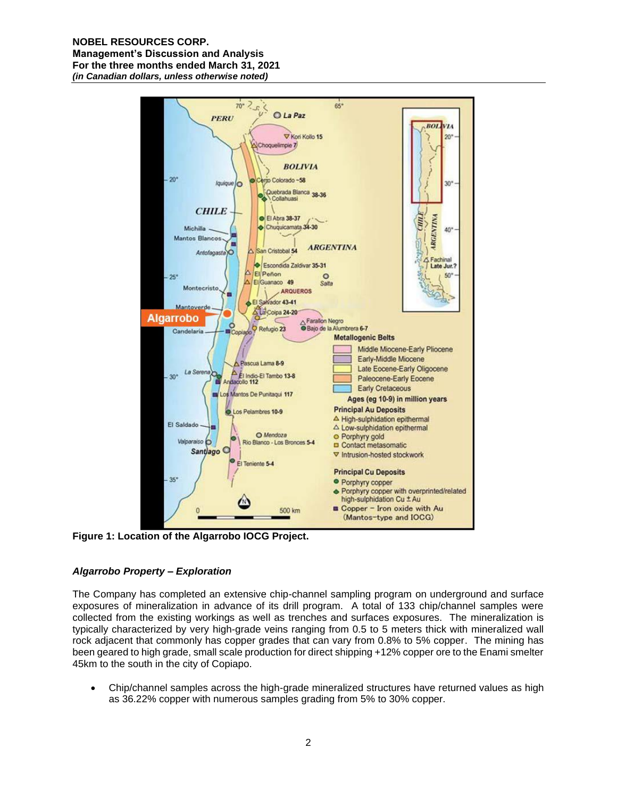#### **NOBEL RESOURCES CORP. Management's Discussion and Analysis For the three months ended March 31, 2021** *(in Canadian dollars, unless otherwise noted)*



**Figure 1: Location of the Algarrobo IOCG Project.**

# *Algarrobo Property – Exploration*

The Company has completed an extensive chip-channel sampling program on underground and surface exposures of mineralization in advance of its drill program. A total of 133 chip/channel samples were collected from the existing workings as well as trenches and surfaces exposures. The mineralization is typically characterized by very high-grade veins ranging from 0.5 to 5 meters thick with mineralized wall rock adjacent that commonly has copper grades that can vary from 0.8% to 5% copper. The mining has been geared to high grade, small scale production for direct shipping +12% copper ore to the Enami smelter 45km to the south in the city of Copiapo.

• Chip/channel samples across the high-grade mineralized structures have returned values as high as 36.22% copper with numerous samples grading from 5% to 30% copper.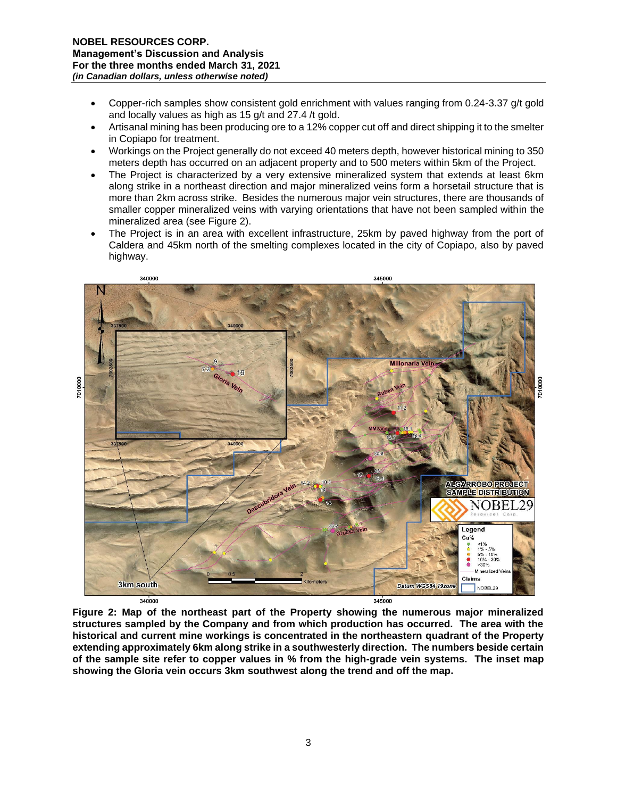- Copper-rich samples show consistent gold enrichment with values ranging from 0.24-3.37 g/t gold and locally values as high as 15 g/t and 27.4 /t gold.
- Artisanal mining has been producing ore to a 12% copper cut off and direct shipping it to the smelter in Copiapo for treatment.
- Workings on the Project generally do not exceed 40 meters depth, however historical mining to 350 meters depth has occurred on an adjacent property and to 500 meters within 5km of the Project.
- The Project is characterized by a very extensive mineralized system that extends at least 6km along strike in a northeast direction and major mineralized veins form a horsetail structure that is more than 2km across strike. Besides the numerous major vein structures, there are thousands of smaller copper mineralized veins with varying orientations that have not been sampled within the mineralized area (see Figure 2).
- The Project is in an area with excellent infrastructure, 25km by paved highway from the port of Caldera and 45km north of the smelting complexes located in the city of Copiapo, also by paved highway.



**Figure 2: Map of the northeast part of the Property showing the numerous major mineralized structures sampled by the Company and from which production has occurred. The area with the historical and current mine workings is concentrated in the northeastern quadrant of the Property extending approximately 6km along strike in a southwesterly direction. The numbers beside certain of the sample site refer to copper values in % from the high-grade vein systems. The inset map showing the Gloria vein occurs 3km southwest along the trend and off the map.**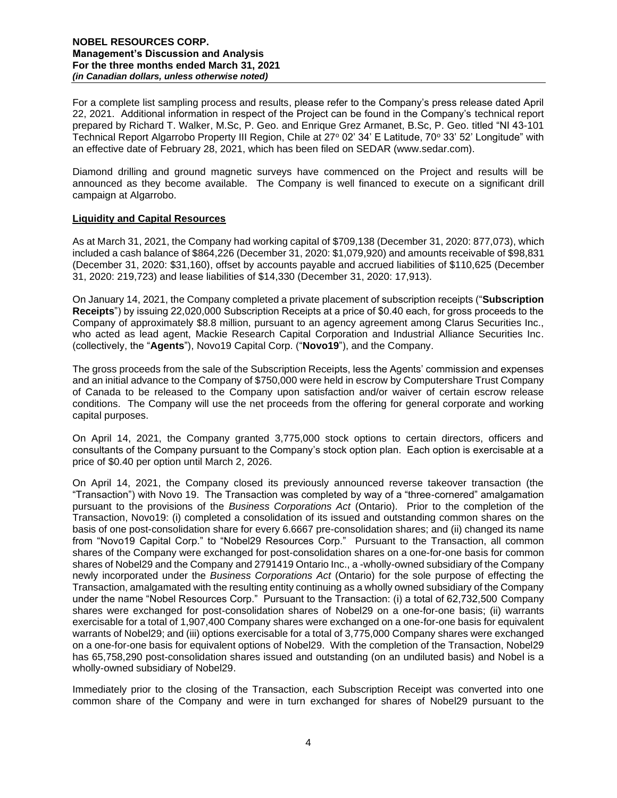For a complete list sampling process and results, please refer to the Company's press release dated April 22, 2021. Additional information in respect of the Project can be found in the Company's technical report prepared by Richard T. Walker, M.Sc, P. Geo. and Enrique Grez Armanet, B.Sc, P. Geo. titled "NI 43-101 Technical Report Algarrobo Property III Region, Chile at 27° 02' 34' E Latitude, 70° 33' 52' Longitude" with an effective date of February 28, 2021, which has been filed on SEDAR (www.sedar.com).

Diamond drilling and ground magnetic surveys have commenced on the Project and results will be announced as they become available. The Company is well financed to execute on a significant drill campaign at Algarrobo.

## **Liquidity and Capital Resources**

As at March 31, 2021, the Company had working capital of \$709,138 (December 31, 2020: 877,073), which included a cash balance of \$864,226 (December 31, 2020: \$1,079,920) and amounts receivable of \$98,831 (December 31, 2020: \$31,160), offset by accounts payable and accrued liabilities of \$110,625 (December 31, 2020: 219,723) and lease liabilities of \$14,330 (December 31, 2020: 17,913).

On January 14, 2021, the Company completed a private placement of subscription receipts ("**Subscription Receipts**") by issuing 22,020,000 Subscription Receipts at a price of \$0.40 each, for gross proceeds to the Company of approximately \$8.8 million, pursuant to an agency agreement among Clarus Securities Inc., who acted as lead agent, Mackie Research Capital Corporation and Industrial Alliance Securities Inc. (collectively, the "**Agents**"), Novo19 Capital Corp. ("**Novo19**"), and the Company.

The gross proceeds from the sale of the Subscription Receipts, less the Agents' commission and expenses and an initial advance to the Company of \$750,000 were held in escrow by Computershare Trust Company of Canada to be released to the Company upon satisfaction and/or waiver of certain escrow release conditions. The Company will use the net proceeds from the offering for general corporate and working capital purposes.

On April 14, 2021, the Company granted 3,775,000 stock options to certain directors, officers and consultants of the Company pursuant to the Company's stock option plan. Each option is exercisable at a price of \$0.40 per option until March 2, 2026.

On April 14, 2021, the Company closed its previously announced reverse takeover transaction (the "Transaction") with Novo 19. The Transaction was completed by way of a "three-cornered" amalgamation pursuant to the provisions of the *Business Corporations Act* (Ontario). Prior to the completion of the Transaction, Novo19: (i) completed a consolidation of its issued and outstanding common shares on the basis of one post-consolidation share for every 6.6667 pre-consolidation shares; and (ii) changed its name from "Novo19 Capital Corp." to "Nobel29 Resources Corp." Pursuant to the Transaction, all common shares of the Company were exchanged for post-consolidation shares on a one-for-one basis for common shares of Nobel29 and the Company and 2791419 Ontario Inc., a -wholly-owned subsidiary of the Company newly incorporated under the *Business Corporations Act* (Ontario) for the sole purpose of effecting the Transaction, amalgamated with the resulting entity continuing as a wholly owned subsidiary of the Company under the name "Nobel Resources Corp." Pursuant to the Transaction: (i) a total of 62,732,500 Company shares were exchanged for post-consolidation shares of Nobel29 on a one-for-one basis; (ii) warrants exercisable for a total of 1,907,400 Company shares were exchanged on a one-for-one basis for equivalent warrants of Nobel29; and (iii) options exercisable for a total of 3,775,000 Company shares were exchanged on a one-for-one basis for equivalent options of Nobel29. With the completion of the Transaction, Nobel29 has 65,758,290 post-consolidation shares issued and outstanding (on an undiluted basis) and Nobel is a wholly-owned subsidiary of Nobel29.

Immediately prior to the closing of the Transaction, each Subscription Receipt was converted into one common share of the Company and were in turn exchanged for shares of Nobel29 pursuant to the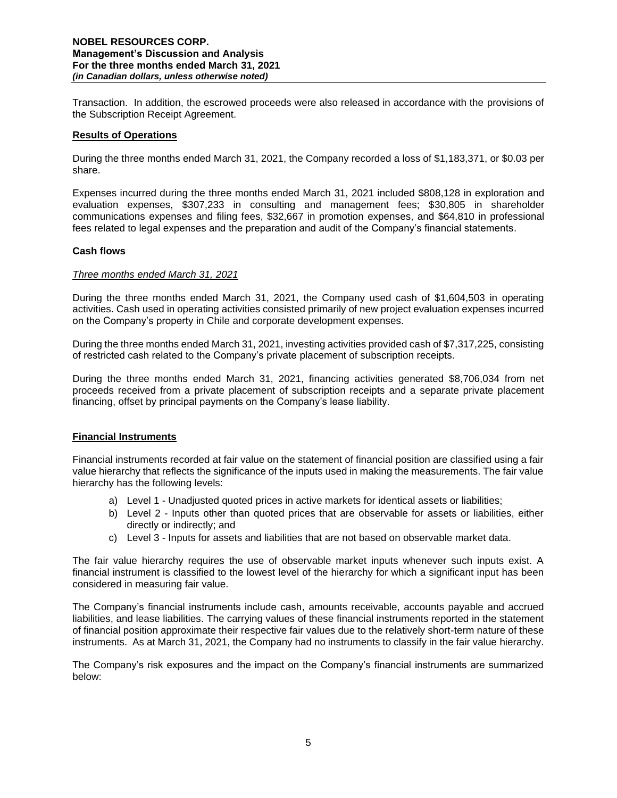Transaction. In addition, the escrowed proceeds were also released in accordance with the provisions of the Subscription Receipt Agreement.

### **Results of Operations**

During the three months ended March 31, 2021, the Company recorded a loss of \$1,183,371, or \$0.03 per share.

Expenses incurred during the three months ended March 31, 2021 included \$808,128 in exploration and evaluation expenses, \$307,233 in consulting and management fees; \$30,805 in shareholder communications expenses and filing fees, \$32,667 in promotion expenses, and \$64,810 in professional fees related to legal expenses and the preparation and audit of the Company's financial statements.

### **Cash flows**

### *Three months ended March 31, 2021*

During the three months ended March 31, 2021, the Company used cash of \$1,604,503 in operating activities. Cash used in operating activities consisted primarily of new project evaluation expenses incurred on the Company's property in Chile and corporate development expenses.

During the three months ended March 31, 2021, investing activities provided cash of \$7,317,225, consisting of restricted cash related to the Company's private placement of subscription receipts.

During the three months ended March 31, 2021, financing activities generated \$8,706,034 from net proceeds received from a private placement of subscription receipts and a separate private placement financing, offset by principal payments on the Company's lease liability.

### **Financial Instruments**

Financial instruments recorded at fair value on the statement of financial position are classified using a fair value hierarchy that reflects the significance of the inputs used in making the measurements. The fair value hierarchy has the following levels:

- a) Level 1 Unadjusted quoted prices in active markets for identical assets or liabilities;
- b) Level 2 Inputs other than quoted prices that are observable for assets or liabilities, either directly or indirectly; and
- c) Level 3 Inputs for assets and liabilities that are not based on observable market data.

The fair value hierarchy requires the use of observable market inputs whenever such inputs exist. A financial instrument is classified to the lowest level of the hierarchy for which a significant input has been considered in measuring fair value.

The Company's financial instruments include cash, amounts receivable, accounts payable and accrued liabilities, and lease liabilities. The carrying values of these financial instruments reported in the statement of financial position approximate their respective fair values due to the relatively short-term nature of these instruments. As at March 31, 2021, the Company had no instruments to classify in the fair value hierarchy.

The Company's risk exposures and the impact on the Company's financial instruments are summarized below: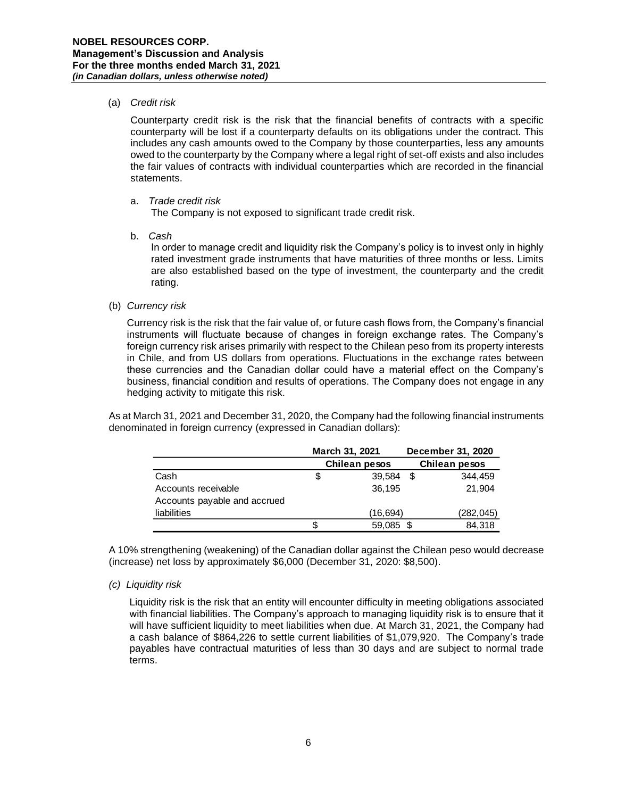### (a) *Credit risk*

Counterparty credit risk is the risk that the financial benefits of contracts with a specific counterparty will be lost if a counterparty defaults on its obligations under the contract. This includes any cash amounts owed to the Company by those counterparties, less any amounts owed to the counterparty by the Company where a legal right of set-off exists and also includes the fair values of contracts with individual counterparties which are recorded in the financial statements.

### a. *Trade credit risk*

The Company is not exposed to significant trade credit risk.

b. *Cash* 

In order to manage credit and liquidity risk the Company's policy is to invest only in highly rated investment grade instruments that have maturities of three months or less. Limits are also established based on the type of investment, the counterparty and the credit rating.

(b) *Currency risk* 

Currency risk is the risk that the fair value of, or future cash flows from, the Company's financial instruments will fluctuate because of changes in foreign exchange rates. The Company's foreign currency risk arises primarily with respect to the Chilean peso from its property interests in Chile, and from US dollars from operations. Fluctuations in the exchange rates between these currencies and the Canadian dollar could have a material effect on the Company's business, financial condition and results of operations. The Company does not engage in any hedging activity to mitigate this risk.

As at March 31, 2021 and December 31, 2020, the Company had the following financial instruments denominated in foreign currency (expressed in Canadian dollars):

|                              | March 31, 2021 |      | December 31, 2020 |
|------------------------------|----------------|------|-------------------|
|                              | Chilean pesos  |      | Chilean pesos     |
| Cash                         | \$<br>39,584   | - \$ | 344.459           |
| Accounts receivable          | 36.195         |      | 21,904            |
| Accounts payable and accrued |                |      |                   |
| liabilities                  | (16,694)       |      | (282, 045)        |
|                              | 59,085 \$      |      | 84,318            |

A 10% strengthening (weakening) of the Canadian dollar against the Chilean peso would decrease (increase) net loss by approximately \$6,000 (December 31, 2020: \$8,500).

*(c) Liquidity risk*

Liquidity risk is the risk that an entity will encounter difficulty in meeting obligations associated with financial liabilities. The Company's approach to managing liquidity risk is to ensure that it will have sufficient liquidity to meet liabilities when due. At March 31, 2021, the Company had a cash balance of \$864,226 to settle current liabilities of \$1,079,920. The Company's trade payables have contractual maturities of less than 30 days and are subject to normal trade terms.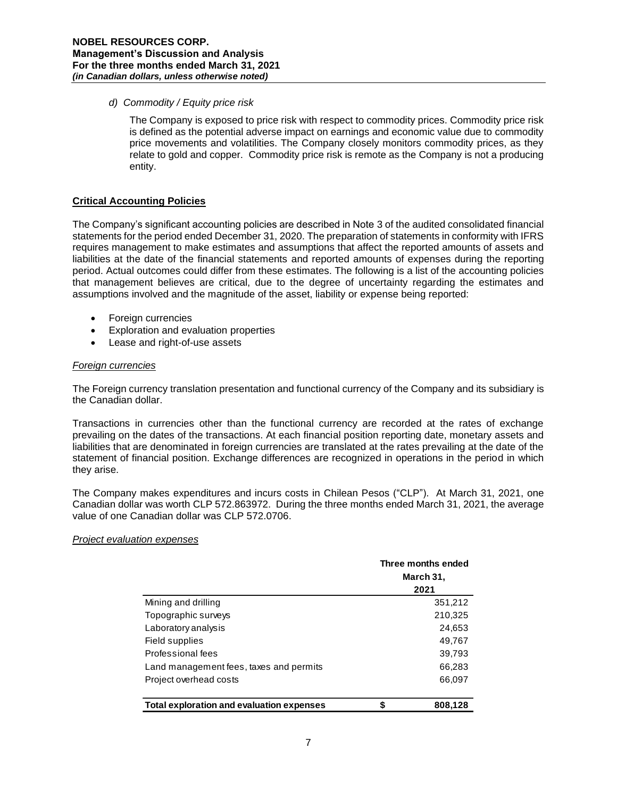#### *d) Commodity / Equity price risk*

The Company is exposed to price risk with respect to commodity prices. Commodity price risk is defined as the potential adverse impact on earnings and economic value due to commodity price movements and volatilities. The Company closely monitors commodity prices, as they relate to gold and copper. Commodity price risk is remote as the Company is not a producing entity.

### **Critical Accounting Policies**

The Company's significant accounting policies are described in Note 3 of the audited consolidated financial statements for the period ended December 31, 2020. The preparation of statements in conformity with IFRS requires management to make estimates and assumptions that affect the reported amounts of assets and liabilities at the date of the financial statements and reported amounts of expenses during the reporting period. Actual outcomes could differ from these estimates. The following is a list of the accounting policies that management believes are critical, due to the degree of uncertainty regarding the estimates and assumptions involved and the magnitude of the asset, liability or expense being reported:

- Foreign currencies
- Exploration and evaluation properties
- Lease and right-of-use assets

#### *Foreign currencies*

The Foreign currency translation presentation and functional currency of the Company and its subsidiary is the Canadian dollar.

Transactions in currencies other than the functional currency are recorded at the rates of exchange prevailing on the dates of the transactions. At each financial position reporting date, monetary assets and liabilities that are denominated in foreign currencies are translated at the rates prevailing at the date of the statement of financial position. Exchange differences are recognized in operations in the period in which they arise.

The Company makes expenditures and incurs costs in Chilean Pesos ("CLP"). At March 31, 2021, one Canadian dollar was worth CLP 572.863972. During the three months ended March 31, 2021, the average value of one Canadian dollar was CLP 572.0706.

### *Project evaluation expenses*

|                                           | Three months ended<br>March 31, |
|-------------------------------------------|---------------------------------|
|                                           | 2021                            |
| Mining and drilling                       | 351,212                         |
| Topographic surveys                       | 210,325                         |
| Laboratory analysis                       | 24,653                          |
| Field supplies                            | 49,767                          |
| Professional fees                         | 39,793                          |
| Land management fees, taxes and permits   | 66,283                          |
| Project overhead costs                    | 66,097                          |
| Total exploration and evaluation expenses | \$<br>808,128                   |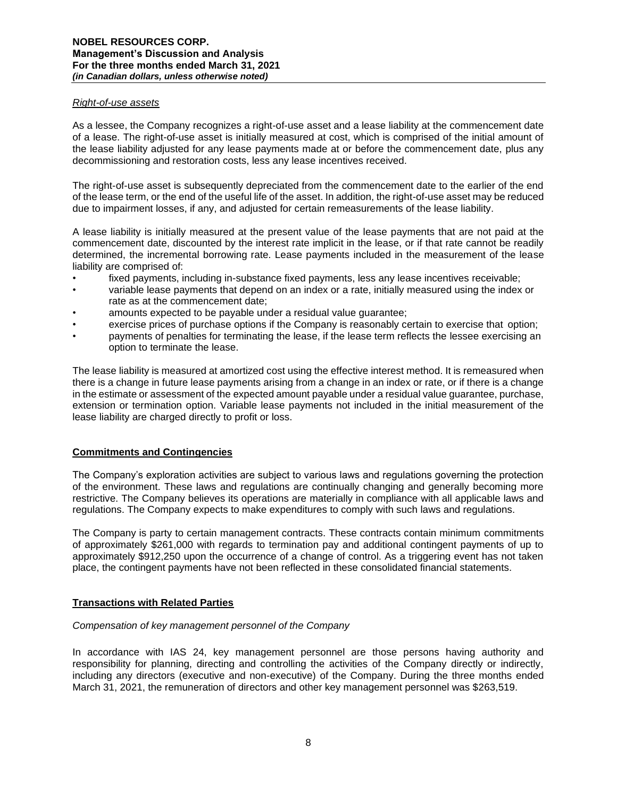#### *Right-of-use assets*

As a lessee, the Company recognizes a right-of-use asset and a lease liability at the commencement date of a lease. The right-of-use asset is initially measured at cost, which is comprised of the initial amount of the lease liability adjusted for any lease payments made at or before the commencement date, plus any decommissioning and restoration costs, less any lease incentives received.

The right-of-use asset is subsequently depreciated from the commencement date to the earlier of the end of the lease term, or the end of the useful life of the asset. In addition, the right-of-use asset may be reduced due to impairment losses, if any, and adjusted for certain remeasurements of the lease liability.

A lease liability is initially measured at the present value of the lease payments that are not paid at the commencement date, discounted by the interest rate implicit in the lease, or if that rate cannot be readily determined, the incremental borrowing rate. Lease payments included in the measurement of the lease liability are comprised of:

- fixed payments, including in-substance fixed payments, less any lease incentives receivable;
- variable lease payments that depend on an index or a rate, initially measured using the index or rate as at the commencement date;
- amounts expected to be payable under a residual value guarantee;
- exercise prices of purchase options if the Company is reasonably certain to exercise that option:
- payments of penalties for terminating the lease, if the lease term reflects the lessee exercising an option to terminate the lease.

The lease liability is measured at amortized cost using the effective interest method. It is remeasured when there is a change in future lease payments arising from a change in an index or rate, or if there is a change in the estimate or assessment of the expected amount payable under a residual value guarantee, purchase, extension or termination option. Variable lease payments not included in the initial measurement of the lease liability are charged directly to profit or loss.

### **Commitments and Contingencies**

The Company's exploration activities are subject to various laws and regulations governing the protection of the environment. These laws and regulations are continually changing and generally becoming more restrictive. The Company believes its operations are materially in compliance with all applicable laws and regulations. The Company expects to make expenditures to comply with such laws and regulations.

The Company is party to certain management contracts. These contracts contain minimum commitments of approximately \$261,000 with regards to termination pay and additional contingent payments of up to approximately \$912,250 upon the occurrence of a change of control. As a triggering event has not taken place, the contingent payments have not been reflected in these consolidated financial statements.

### **Transactions with Related Parties**

### *Compensation of key management personnel of the Company*

In accordance with IAS 24, key management personnel are those persons having authority and responsibility for planning, directing and controlling the activities of the Company directly or indirectly, including any directors (executive and non-executive) of the Company. During the three months ended March 31, 2021, the remuneration of directors and other key management personnel was \$263,519.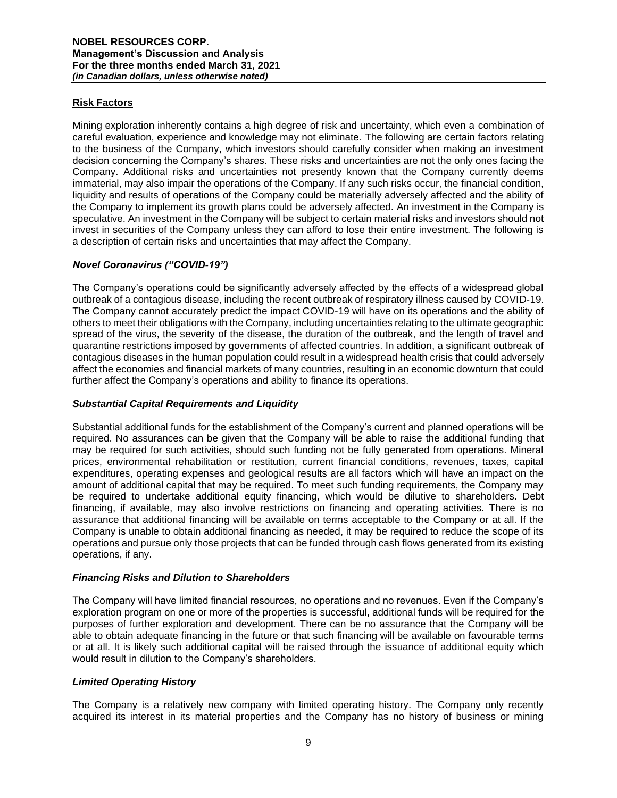# **Risk Factors**

Mining exploration inherently contains a high degree of risk and uncertainty, which even a combination of careful evaluation, experience and knowledge may not eliminate. The following are certain factors relating to the business of the Company, which investors should carefully consider when making an investment decision concerning the Company's shares. These risks and uncertainties are not the only ones facing the Company. Additional risks and uncertainties not presently known that the Company currently deems immaterial, may also impair the operations of the Company. If any such risks occur, the financial condition, liquidity and results of operations of the Company could be materially adversely affected and the ability of the Company to implement its growth plans could be adversely affected. An investment in the Company is speculative. An investment in the Company will be subject to certain material risks and investors should not invest in securities of the Company unless they can afford to lose their entire investment. The following is a description of certain risks and uncertainties that may affect the Company.

# *Novel Coronavirus ("COVID-19")*

The Company's operations could be significantly adversely affected by the effects of a widespread global outbreak of a contagious disease, including the recent outbreak of respiratory illness caused by COVID-19. The Company cannot accurately predict the impact COVID-19 will have on its operations and the ability of others to meet their obligations with the Company, including uncertainties relating to the ultimate geographic spread of the virus, the severity of the disease, the duration of the outbreak, and the length of travel and quarantine restrictions imposed by governments of affected countries. In addition, a significant outbreak of contagious diseases in the human population could result in a widespread health crisis that could adversely affect the economies and financial markets of many countries, resulting in an economic downturn that could further affect the Company's operations and ability to finance its operations.

### *Substantial Capital Requirements and Liquidity*

Substantial additional funds for the establishment of the Company's current and planned operations will be required. No assurances can be given that the Company will be able to raise the additional funding that may be required for such activities, should such funding not be fully generated from operations. Mineral prices, environmental rehabilitation or restitution, current financial conditions, revenues, taxes, capital expenditures, operating expenses and geological results are all factors which will have an impact on the amount of additional capital that may be required. To meet such funding requirements, the Company may be required to undertake additional equity financing, which would be dilutive to shareholders. Debt financing, if available, may also involve restrictions on financing and operating activities. There is no assurance that additional financing will be available on terms acceptable to the Company or at all. If the Company is unable to obtain additional financing as needed, it may be required to reduce the scope of its operations and pursue only those projects that can be funded through cash flows generated from its existing operations, if any.

### *Financing Risks and Dilution to Shareholders*

The Company will have limited financial resources, no operations and no revenues. Even if the Company's exploration program on one or more of the properties is successful, additional funds will be required for the purposes of further exploration and development. There can be no assurance that the Company will be able to obtain adequate financing in the future or that such financing will be available on favourable terms or at all. It is likely such additional capital will be raised through the issuance of additional equity which would result in dilution to the Company's shareholders.

### *Limited Operating History*

The Company is a relatively new company with limited operating history. The Company only recently acquired its interest in its material properties and the Company has no history of business or mining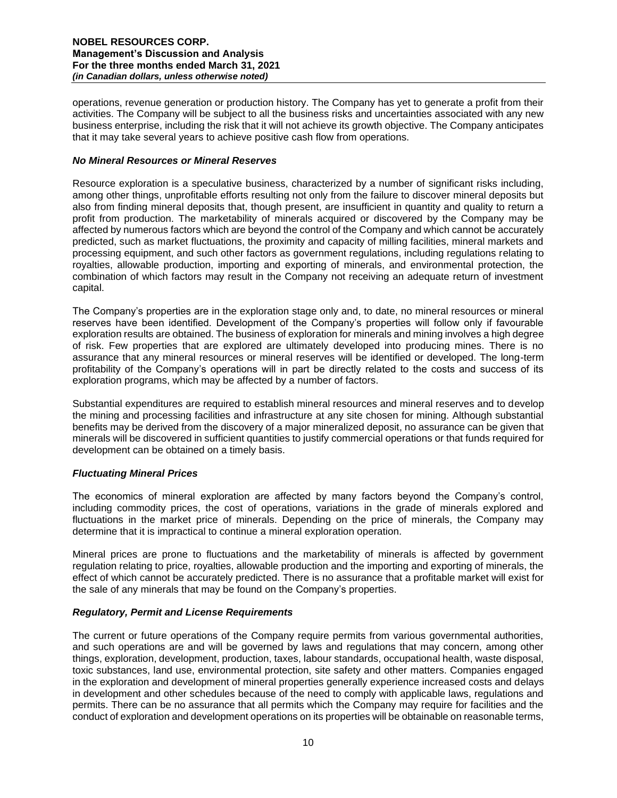operations, revenue generation or production history. The Company has yet to generate a profit from their activities. The Company will be subject to all the business risks and uncertainties associated with any new business enterprise, including the risk that it will not achieve its growth objective. The Company anticipates that it may take several years to achieve positive cash flow from operations.

## *No Mineral Resources or Mineral Reserves*

Resource exploration is a speculative business, characterized by a number of significant risks including, among other things, unprofitable efforts resulting not only from the failure to discover mineral deposits but also from finding mineral deposits that, though present, are insufficient in quantity and quality to return a profit from production. The marketability of minerals acquired or discovered by the Company may be affected by numerous factors which are beyond the control of the Company and which cannot be accurately predicted, such as market fluctuations, the proximity and capacity of milling facilities, mineral markets and processing equipment, and such other factors as government regulations, including regulations relating to royalties, allowable production, importing and exporting of minerals, and environmental protection, the combination of which factors may result in the Company not receiving an adequate return of investment capital.

The Company's properties are in the exploration stage only and, to date, no mineral resources or mineral reserves have been identified. Development of the Company's properties will follow only if favourable exploration results are obtained. The business of exploration for minerals and mining involves a high degree of risk. Few properties that are explored are ultimately developed into producing mines. There is no assurance that any mineral resources or mineral reserves will be identified or developed. The long-term profitability of the Company's operations will in part be directly related to the costs and success of its exploration programs, which may be affected by a number of factors.

Substantial expenditures are required to establish mineral resources and mineral reserves and to develop the mining and processing facilities and infrastructure at any site chosen for mining. Although substantial benefits may be derived from the discovery of a major mineralized deposit, no assurance can be given that minerals will be discovered in sufficient quantities to justify commercial operations or that funds required for development can be obtained on a timely basis.

# *Fluctuating Mineral Prices*

The economics of mineral exploration are affected by many factors beyond the Company's control, including commodity prices, the cost of operations, variations in the grade of minerals explored and fluctuations in the market price of minerals. Depending on the price of minerals, the Company may determine that it is impractical to continue a mineral exploration operation.

Mineral prices are prone to fluctuations and the marketability of minerals is affected by government regulation relating to price, royalties, allowable production and the importing and exporting of minerals, the effect of which cannot be accurately predicted. There is no assurance that a profitable market will exist for the sale of any minerals that may be found on the Company's properties.

# *Regulatory, Permit and License Requirements*

The current or future operations of the Company require permits from various governmental authorities, and such operations are and will be governed by laws and regulations that may concern, among other things, exploration, development, production, taxes, labour standards, occupational health, waste disposal, toxic substances, land use, environmental protection, site safety and other matters. Companies engaged in the exploration and development of mineral properties generally experience increased costs and delays in development and other schedules because of the need to comply with applicable laws, regulations and permits. There can be no assurance that all permits which the Company may require for facilities and the conduct of exploration and development operations on its properties will be obtainable on reasonable terms,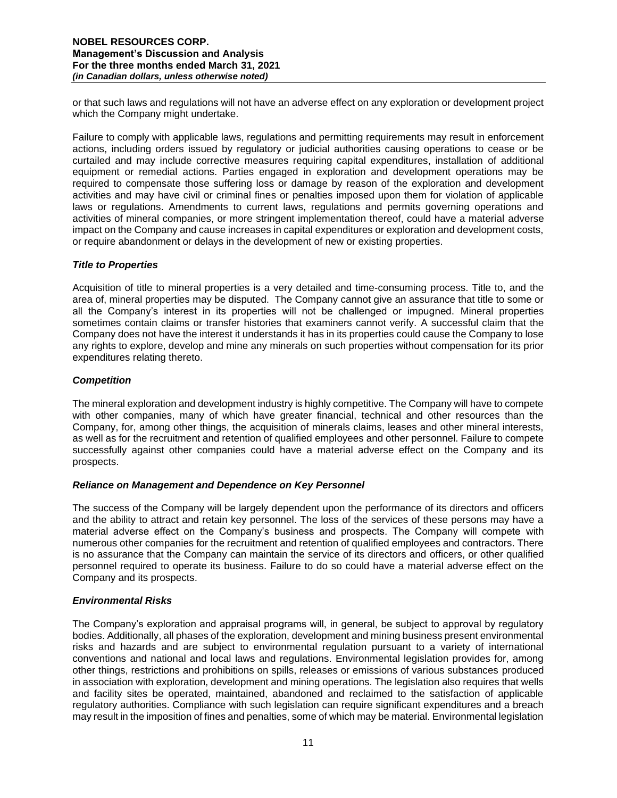or that such laws and regulations will not have an adverse effect on any exploration or development project which the Company might undertake.

Failure to comply with applicable laws, regulations and permitting requirements may result in enforcement actions, including orders issued by regulatory or judicial authorities causing operations to cease or be curtailed and may include corrective measures requiring capital expenditures, installation of additional equipment or remedial actions. Parties engaged in exploration and development operations may be required to compensate those suffering loss or damage by reason of the exploration and development activities and may have civil or criminal fines or penalties imposed upon them for violation of applicable laws or regulations. Amendments to current laws, regulations and permits governing operations and activities of mineral companies, or more stringent implementation thereof, could have a material adverse impact on the Company and cause increases in capital expenditures or exploration and development costs, or require abandonment or delays in the development of new or existing properties.

### *Title to Properties*

Acquisition of title to mineral properties is a very detailed and time-consuming process. Title to, and the area of, mineral properties may be disputed. The Company cannot give an assurance that title to some or all the Company's interest in its properties will not be challenged or impugned. Mineral properties sometimes contain claims or transfer histories that examiners cannot verify. A successful claim that the Company does not have the interest it understands it has in its properties could cause the Company to lose any rights to explore, develop and mine any minerals on such properties without compensation for its prior expenditures relating thereto.

## *Competition*

The mineral exploration and development industry is highly competitive. The Company will have to compete with other companies, many of which have greater financial, technical and other resources than the Company, for, among other things, the acquisition of minerals claims, leases and other mineral interests, as well as for the recruitment and retention of qualified employees and other personnel. Failure to compete successfully against other companies could have a material adverse effect on the Company and its prospects.

### *Reliance on Management and Dependence on Key Personnel*

The success of the Company will be largely dependent upon the performance of its directors and officers and the ability to attract and retain key personnel. The loss of the services of these persons may have a material adverse effect on the Company's business and prospects. The Company will compete with numerous other companies for the recruitment and retention of qualified employees and contractors. There is no assurance that the Company can maintain the service of its directors and officers, or other qualified personnel required to operate its business. Failure to do so could have a material adverse effect on the Company and its prospects.

# *Environmental Risks*

The Company's exploration and appraisal programs will, in general, be subject to approval by regulatory bodies. Additionally, all phases of the exploration, development and mining business present environmental risks and hazards and are subject to environmental regulation pursuant to a variety of international conventions and national and local laws and regulations. Environmental legislation provides for, among other things, restrictions and prohibitions on spills, releases or emissions of various substances produced in association with exploration, development and mining operations. The legislation also requires that wells and facility sites be operated, maintained, abandoned and reclaimed to the satisfaction of applicable regulatory authorities. Compliance with such legislation can require significant expenditures and a breach may result in the imposition of fines and penalties, some of which may be material. Environmental legislation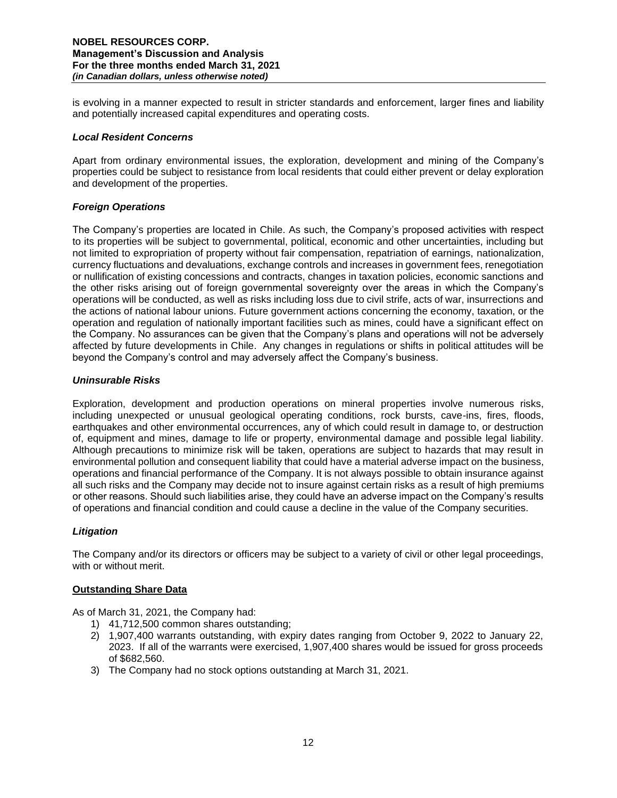is evolving in a manner expected to result in stricter standards and enforcement, larger fines and liability and potentially increased capital expenditures and operating costs.

### *Local Resident Concerns*

Apart from ordinary environmental issues, the exploration, development and mining of the Company's properties could be subject to resistance from local residents that could either prevent or delay exploration and development of the properties.

### *Foreign Operations*

The Company's properties are located in Chile. As such, the Company's proposed activities with respect to its properties will be subject to governmental, political, economic and other uncertainties, including but not limited to expropriation of property without fair compensation, repatriation of earnings, nationalization, currency fluctuations and devaluations, exchange controls and increases in government fees, renegotiation or nullification of existing concessions and contracts, changes in taxation policies, economic sanctions and the other risks arising out of foreign governmental sovereignty over the areas in which the Company's operations will be conducted, as well as risks including loss due to civil strife, acts of war, insurrections and the actions of national labour unions. Future government actions concerning the economy, taxation, or the operation and regulation of nationally important facilities such as mines, could have a significant effect on the Company. No assurances can be given that the Company's plans and operations will not be adversely affected by future developments in Chile. Any changes in regulations or shifts in political attitudes will be beyond the Company's control and may adversely affect the Company's business.

## *Uninsurable Risks*

Exploration, development and production operations on mineral properties involve numerous risks, including unexpected or unusual geological operating conditions, rock bursts, cave-ins, fires, floods, earthquakes and other environmental occurrences, any of which could result in damage to, or destruction of, equipment and mines, damage to life or property, environmental damage and possible legal liability. Although precautions to minimize risk will be taken, operations are subject to hazards that may result in environmental pollution and consequent liability that could have a material adverse impact on the business, operations and financial performance of the Company. It is not always possible to obtain insurance against all such risks and the Company may decide not to insure against certain risks as a result of high premiums or other reasons. Should such liabilities arise, they could have an adverse impact on the Company's results of operations and financial condition and could cause a decline in the value of the Company securities.

### *Litigation*

The Company and/or its directors or officers may be subject to a variety of civil or other legal proceedings, with or without merit.

### **Outstanding Share Data**

As of March 31, 2021, the Company had:

- 1) 41,712,500 common shares outstanding;
- 2) 1,907,400 warrants outstanding, with expiry dates ranging from October 9, 2022 to January 22, 2023. If all of the warrants were exercised, 1,907,400 shares would be issued for gross proceeds of \$682,560.
- 3) The Company had no stock options outstanding at March 31, 2021.